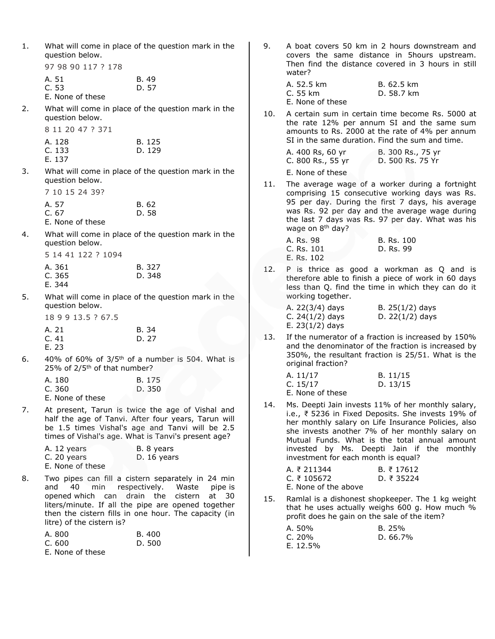| What will come in place of the question mark in the |
|-----------------------------------------------------|
| question below.                                     |

97 98 90 117 ? 178

| A. 51            | B. 49 |
|------------------|-------|
| C. 53            | D. 57 |
| E. None of these |       |

2. What will come in place of the question mark in the question below.

8 11 20 47 ? 371

| A. 128 | B. 125 |
|--------|--------|
| C.133  | D. 129 |
| E. 137 |        |

3. What will come in place of the question mark in the question below.

| 7 10 15 24 39?   |                |
|------------------|----------------|
| A. 57<br>C. 67   | B. 62<br>D. 58 |
| E. None of these |                |

4. What will come in place of the question mark in the question below.

| 5 14 41 122 ? 1094 |        |
|--------------------|--------|
| A. 361             | B. 327 |
| C.365              | D. 348 |
| E. 344             |        |

5. What will come in place of the question mark in the question below.

|  |  | 18 9 9 13.5 ? 67.5 |
|--|--|--------------------|
|--|--|--------------------|

| A. 21 | B. 34 |
|-------|-------|
| C.41  | D. 27 |
| F 23  |       |

6.  $40\%$  of 60% of 3/5<sup>th</sup> of a number is 504. What is 25% of 2/5<sup>th</sup> of that number?

| A. 180             | B. 175 |
|--------------------|--------|
| C. 360             | D. 350 |
| E. Marco a Calcara |        |

E. None of these

7. At present, Tarun is twice the age of Vishal and half the age of Tanvi. After four years, Tarun will be 1.5 times Vishal's age and Tanvi will be 2.5 times of Vishal's age. What is Tanvi's present age?

| A. 12 years      | B. 8 years  |
|------------------|-------------|
| C. 20 years      | D. 16 years |
| E. None of these |             |

8. Two pipes can fill a cistern separately in 24 min and 40 min respectively. Waste pipe is opened which can drain the cistern at 30 liters/minute. If all the pipe are opened together then the cistern fills in one hour. The capacity (in litre) of the cistern is?

| A. 800           | B. 400 |
|------------------|--------|
| C. 600           | D. 500 |
| E. None of these |        |

9. A boat covers 50 km in 2 hours downstream and covers the same distance in 5hours upstream. Then find the distance covered in 3 hours in still water?

| A. 52.5 km       | B. 62.5 km |
|------------------|------------|
| C. 55 km         | D. 58.7 km |
| E. None of these |            |

10. A certain sum in certain time become Rs. 5000 at the rate 12% per annum SI and the same sum amounts to Rs. 2000 at the rate of 4% per annum SI in the same duration. Find the sum and time.

| A. 400 Rs, 60 yr  | B. 300 Rs., 75 yr |
|-------------------|-------------------|
| C. 800 Rs., 55 yr | D. 500 Rs. 75 Yr  |
| E. None of these  |                   |

11. The average wage of a worker during a fortnight comprising 15 consecutive working days was Rs. 95 per day. During the first 7 days, his average was Rs. 92 per day and the average wage during the last 7 days was Rs. 97 per day. What was his wage on 8<sup>th</sup> day?

| A. Rs. 98  | B. Rs. 100 |
|------------|------------|
| C. Rs. 101 | D. Rs. 99  |
| E. Rs. 102 |            |

12. P is thrice as good a workman as Q and is therefore able to finish a piece of work in 60 days less than Q. find the time in which they can do it working together.

| A. 22(3/4) days   | B. $25(1/2)$ days |
|-------------------|-------------------|
| C. $24(1/2)$ days | D. $22(1/2)$ days |
| E. $23(1/2)$ days |                   |

13. If the numerator of a fraction is increased by 150% and the denominator of the fraction is increased by 350%, the resultant fraction is 25/51. What is the original fraction?

| A. 11/17         | B. 11/15 |
|------------------|----------|
| C. $15/17$       | D. 13/15 |
| E. None of these |          |

14. Ms. Deepti Jain invests 11% of her monthly salary, i.e., ₹ 5236 in Fixed Deposits. She invests 19% of her monthly salary on Life Insurance Policies, also she invests another 7% of her monthly salary on Mutual Funds. What is the total annual amount invested by Ms. Deepti Jain if the monthly investment for each month is equal?

| A. ₹ 211344          | B. ₹ 17612         |
|----------------------|--------------------|
| C. $\bar{x}$ 105672  | D. $\bar{z}$ 35224 |
| E. None of the above |                    |

15. Ramlal is a dishonest shopkeeper. The 1 kg weight that he uses actually weighs 600 g. How much % profit does he gain on the sale of the item?

| A. 50%     | B.25%       |
|------------|-------------|
| C. 20%     | D. $66.7\%$ |
| E. $12.5%$ |             |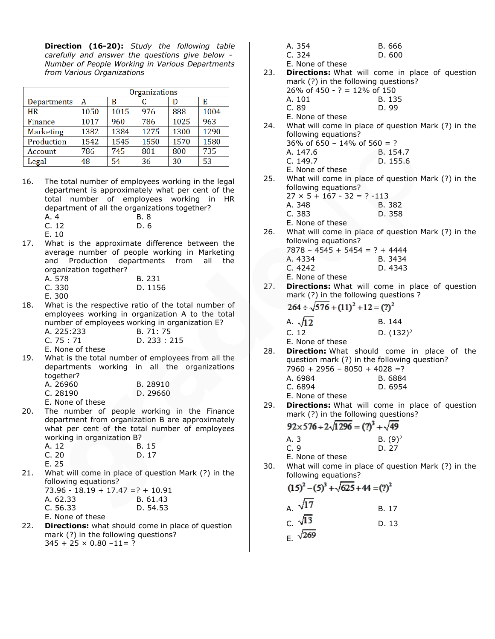**Direction (16-20):** *Study the following table carefully and answer the questions give below - Number of People Working in Various Departments from Various Organizations*

|             | Organizations |      |      |      |      |
|-------------|---------------|------|------|------|------|
| Departments | Α             | B    |      |      | Е    |
| <b>HR</b>   | 1050          | 1015 | 976  | 888  | 1004 |
| Finance     | 1017          | 960  | 786  | 1025 | 963  |
| Marketing   | 1382          | 1384 | 1275 | 1300 | 1290 |
| Production  | 1542          | 1545 | 1550 | 1570 | 1580 |
| Account     | 786           | 745  | 801  | 800  | 735  |
| Legal       | 48            | 54   | 36   | 30   | 53   |

- 16. The total number of employees working in the legal department is approximately what per cent of the total number of employees working in HR department of all the organizations together? A. 4 B. 8 C. 12 D. 6 E. 10
- 17. What is the approximate difference between the average number of people working in Marketing and Production departments from all the organization together?

| A. 578 | B. 231  |
|--------|---------|
| C. 330 | D. 1156 |
| - 300  |         |

- E. 300
- 18. What is the respective ratio of the total number of employees working in organization A to the total number of employees working in organization E?

| A. 225:233 | B. 71: 75    |
|------------|--------------|
| C. 75 : 71 | D. 233 : 215 |

E. None of these

19. What is the total number of employees from all the departments working in all the organizations together?

| A. 26960 |  | B. 28910 |
|----------|--|----------|
| C. 28190 |  | D. 29660 |
|          |  |          |

E. None of these

20. The number of people working in the Finance department from organization B are approximately what per cent of the total number of employees working in organization B?

| A. 12 | B. 15 |
|-------|-------|
| C.20  | D.17  |
| E. 25 |       |

21. What will come in place of question Mark (?) in the following equations?

|                  | 73.96 - 18.19 + 17.47 =? + 10.91 |
|------------------|----------------------------------|
| A. 62.33         | B. 61.43                         |
| C. 56.33         | D. 54.53                         |
| E. None of these |                                  |

22. **Directions:** what should come in place of question mark (?) in the following questions?  $345 + 25 \times 0.80 - 11 = ?$ 

| A. 354 | B. 666 |
|--------|--------|
| C.324  | D. 600 |

E. None of these

- 23. **Directions:** What will come in place of question mark (?) in the following questions? 26% of 450 - ? = 12% of 150 A. 101 B. 135
	- C. 89 D. 99
	- E. None of these
- 24. What will come in place of question Mark (?) in the following equations?  $36\%$  of  $650 - 14\%$  of  $560 = ?$ 
	- A. 147.6 B. 154.7
	- C. 149.7 D. 155.6
- E. None of these
- 25. What will come in place of question Mark (?) in the following equations?  $27 \times 5 + 167 - 32 = ? -113$ 
	- A. 348 B. 382 C. 383 D. 358
	- E. None of these
- 26. What will come in place of question Mark (?) in the following equations?  $7878 - 4545 + 5454 = ? + 4444$ 
	- A. 4334 B. 3434 C. 4242 D. 4343
	- E. None of these
- 27. **Directions:** What will come in place of question mark (?) in the following questions ?

$$
264 \div \sqrt{576 + (11)^2 + 12} = (?)^2
$$

| A. $\sqrt{12}$ |   | B. 144       |
|----------------|---|--------------|
| C. 12          |   | D. $(132)^2$ |
| - -            | . |              |

E. None of these

- 28. **Direction:** What should come in place of the question mark (?) in the following question?  $7960 + 2956 - 8050 + 4028 = ?$ A. 6984 B. 6884<br>C. 6894 D. 6954 D. 6954
	- E. None of these
- 29. **Directions:** What will come in place of question mark (?) in the following questions?

 $92 \times 576 \div 2 \cdot \sqrt{1296} = (?)^3 + \sqrt{49}$ 

| A. 3 | $B. (9)^2$ |
|------|------------|
| C.9  | D. 27      |

- E. None of these
- 30. What will come in place of question Mark (?) in the following equations?

$$
(15)^2 - (5)^3 + \sqrt{625} + 44 = (?)^2
$$

A. 
$$
\sqrt{17}
$$
  
\nC.  $\sqrt{13}$   
\nD. 13  
\nE.  $\sqrt{269}$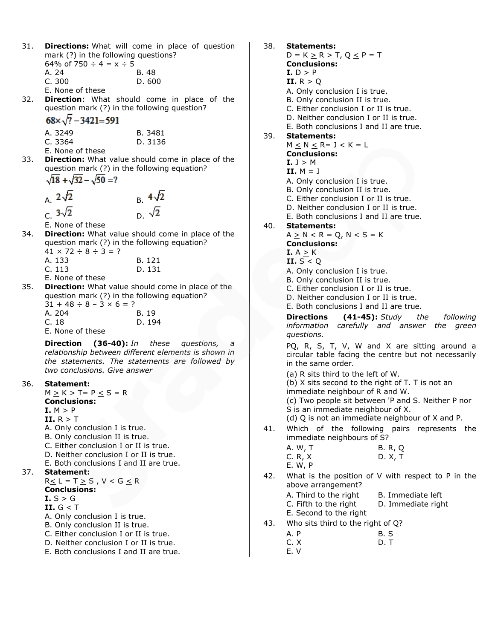| 31. | mark (?) in the following questions?                                    | <b>Directions:</b> What will come in place of question                                                |
|-----|-------------------------------------------------------------------------|-------------------------------------------------------------------------------------------------------|
|     | 64% of 750 $\div$ 4 = x $\div$ 5                                        |                                                                                                       |
|     | A. 24<br>C.300                                                          | B. 48                                                                                                 |
|     | E. None of these                                                        | D. 600                                                                                                |
| 32. |                                                                         | <b>Direction:</b> What should come in place of the                                                    |
|     | question mark (?) in the following question?                            |                                                                                                       |
|     | $68 \times \sqrt{?} - 3421 = 591$                                       |                                                                                                       |
|     | A. 3249                                                                 | B. 3481                                                                                               |
|     | C. 3364                                                                 | D. 3136                                                                                               |
| 33. | E. None of these                                                        | Direction: What value should come in place of the                                                     |
|     | question mark (?) in the following equation?                            |                                                                                                       |
|     | $\sqrt{18} + \sqrt{32} - \sqrt{50} = ?$                                 |                                                                                                       |
|     | A. $2\sqrt{2}$                                                          |                                                                                                       |
|     |                                                                         | B. $\frac{4\sqrt{2}}{D\sqrt{2}}$                                                                      |
|     | $c. 3\sqrt{2}$                                                          |                                                                                                       |
|     | E. None of these                                                        |                                                                                                       |
| 34. | question mark (?) in the following equation?                            | Direction: What value should come in place of the                                                     |
|     | $41 \times 72 \div 8 \div 3 = ?$                                        |                                                                                                       |
|     | A. 133                                                                  | B. 121                                                                                                |
|     | C. 113<br>E. None of these                                              | D. 131                                                                                                |
| 35. |                                                                         | Direction: What value should come in place of the                                                     |
|     | question mark (?) in the following equation?                            |                                                                                                       |
|     | $31 + 48 \div 8 - 3 \times 6 = ?$<br>A. 204                             | B. 19                                                                                                 |
|     | C.18                                                                    | D. 194                                                                                                |
|     | E. None of these                                                        |                                                                                                       |
|     |                                                                         | <b>Direction (36-40):</b> In these questions, a                                                       |
|     |                                                                         | relationship between different elements is shown in<br>the statements. The statements are followed by |
|     | two conclusions. Give answer                                            |                                                                                                       |
| 36. | Statement:                                                              |                                                                                                       |
|     | $M \ge K > T = P \le S = R$                                             |                                                                                                       |
|     | <b>Conclusions:</b><br>I. M > P                                         |                                                                                                       |
|     | II. $R > T$                                                             |                                                                                                       |
|     | A. Only conclusion I is true.                                           |                                                                                                       |
|     | B. Only conclusion II is true.<br>C. Either conclusion I or II is true. |                                                                                                       |
|     | D. Neither conclusion I or II is true.                                  |                                                                                                       |
|     | E. Both conclusions I and II are true.                                  |                                                                                                       |
| 37. | Statement:<br>$R \leq L = T \geq S$ , $V < G \leq R$                    |                                                                                                       |
|     | <b>Conclusions:</b>                                                     |                                                                                                       |
|     | <b>I.</b> $S \geq G$                                                    |                                                                                                       |
|     | II. $G \le T$<br>A. Only conclusion I is true.                          |                                                                                                       |
|     | B. Only conclusion II is true.                                          |                                                                                                       |
|     | C. Either conclusion I or II is true.                                   |                                                                                                       |
|     | D. Neither conclusion I or II is true.                                  |                                                                                                       |

E. Both conclusions I and II are true.

| 38. | <b>Statements:</b>                               |                                                      |
|-----|--------------------------------------------------|------------------------------------------------------|
|     | $D = K \ge R > T, Q \le P = T$                   |                                                      |
|     | <b>Conclusions:</b>                              |                                                      |
|     | I.D > P                                          |                                                      |
|     | II. $R > Q$                                      |                                                      |
|     | A. Only conclusion I is true.                    |                                                      |
|     | B. Only conclusion II is true.                   |                                                      |
|     | C. Either conclusion I or II is true.            |                                                      |
|     | D. Neither conclusion I or II is true.           |                                                      |
|     | E. Both conclusions I and II are true.           |                                                      |
| 39. | <b>Statements:</b>                               |                                                      |
|     | $M \leq N \leq R = J < K = L$                    |                                                      |
|     | <b>Conclusions:</b>                              |                                                      |
|     | $I.$ J > M                                       |                                                      |
|     | II. $M = J$                                      |                                                      |
|     | A. Only conclusion I is true.                    |                                                      |
|     | B. Only conclusion II is true.                   |                                                      |
|     | C. Either conclusion I or II is true.            |                                                      |
|     | D. Neither conclusion I or II is true.           |                                                      |
|     | E. Both conclusions I and II are true.           |                                                      |
| 40. | <b>Statements:</b>                               |                                                      |
|     | $A \ge N < R = Q, N < S = K$                     |                                                      |
|     | <b>Conclusions:</b>                              |                                                      |
|     | I. $A \ge K$                                     |                                                      |
|     | II. $S < Q$                                      |                                                      |
|     | A. Only conclusion I is true.                    |                                                      |
|     | B. Only conclusion II is true.                   |                                                      |
|     | C. Either conclusion I or II is true.            |                                                      |
|     | D. Neither conclusion I or II is true.           |                                                      |
|     | E. Both conclusions I and II are true.           |                                                      |
|     |                                                  | <b>Directions (41-45):</b> Study the following       |
|     |                                                  | information carefully and answer the green           |
|     | questions.                                       |                                                      |
|     |                                                  | PQ, R, S, T, V, W and X are sitting around a         |
|     |                                                  | circular table facing the centre but not necessarily |
|     | in the same order.                               |                                                      |
|     |                                                  |                                                      |
|     | (a) R sits third to the left of W.               |                                                      |
|     | (b) X sits second to the right of T. T is not an |                                                      |
|     | immediate neighbour of R and W.                  |                                                      |
|     |                                                  | (c) Two people sit between 'P and S. Neither P nor   |
|     | S is an immediate neighbour of X.                |                                                      |
|     |                                                  | (d) Q is not an immediate neighbour of X and P.      |
| 41. | Which                                            | of the following pairs represents<br>the             |
|     | immediate neighbours of S?                       |                                                      |
|     | A. W, T                                          | B. R, Q                                              |
|     | C. R, X                                          | D. X, T                                              |
|     | E. W, P                                          |                                                      |
| 42. |                                                  | What is the position of V with respect to P in the   |
|     | above arrangement?                               |                                                      |
|     | A. Third to the right                            | B. Immediate left                                    |
|     | C. Fifth to the right                            | D. Immediate right                                   |
|     | E. Second to the right                           |                                                      |
|     |                                                  |                                                      |

43. Who sits third to the right of Q?

| A. P |  | B.S |
|------|--|-----|
|      |  |     |

- $\overline{D}$ . T
- E. V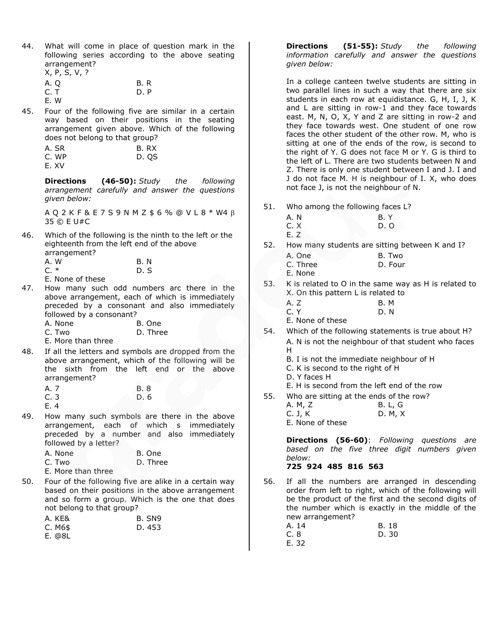- 44. What will come in place of question mark in the following series according to the above seating arrangement? X, P, S, V, ?
	- A. Q B. R C. T D. P
	- E. W
- 45. Four of the following five are similar in a certain way based on their positions in the seating arrangement given above. Which of the following does not belong to that group?

| A. SR | B.RX  |
|-------|-------|
| C. WP | D. OS |
| E.XV  |       |

**Directions (46-50):** *Study the following arrangement carefully and answer the questions given below:*

A Q 2 K F & E 7 S 9 N M Z \$ 6 % @ V L 8 \* W4 35 © E U#C

- 46. Which of the following is the ninth to the left or the eighteenth from the left end of the above arrangement? A. W B. N<br>C. \* D. S  $D.S$ 
	- E. None of these
- 47. How many such odd numbers arc there in the above arrangement, each of which is immediately preceded by a consonant and also immediately followed by a consonant?

| A. None | B. One   |
|---------|----------|
| C. Two  | D. Three |

E. More than three

48. If all the letters and symbols are dropped from the above arrangement, which of the following will be the sixth from the left end or the above arrangement?

| A. 7 | B. 8 |
|------|------|
| C.3  | D. 6 |
| E. 4 |      |

49. How many such symbols are there in the above arrangement, each of which s immediately preceded by a number and also immediately followed by a letter?

| A. None | B. One   |
|---------|----------|
| C. Two  | D. Three |

- E. More than three
- 50. Four of the following five are alike in a certain way based on their positions in the above arrangement and so form a group. Which is the one that does not belong to that group?

| A. KE&  | B. SN9 |
|---------|--------|
| C. M6\$ | D. 453 |
| E. @8L  |        |

**Directions (51-55):** *Study the following information carefully and answer the questions given below:*

In a college canteen twelve students are sitting in two parallel lines in such a way that there are six students in each row at equidistance. G, H, I, J, K and L are sitting in row-1 and they face towards east. M, N, O, X, Y and Z are sitting in row-2 and they face towards west. One student of one row faces the other student of the other row. M, who is sitting at one of the ends of the row, is second to the right of Y. G does not face M or Y. G is third to the left of L. There are two students between N and Z. There is only one student between I and J. I and J do not face M. H is neighbour of I. X, who does not face J, is not the neighbour of N.

- 51. Who among the following faces L?
	- A. N B. Y C. X D. O
	- E. Z
- 52. How many students are sitting between K and I? A. One B. Two
	- C. Three D. Four
	- E. None
- 53. K is related to O in the same way as H is related to X. On this pattern L is related to
	- A. Z B. M
	- C. Y D. N

E. None of these

- 54. Which of the following statements is true about H? A. N is not the neighbour of that student who faces H
	- B. I is not the immediate neighbour of H
	- C. K is second to the right of H
	- D. Y faces H
	- E. H is second from the left end of the row
- 55. Who are sitting at the ends of the row?
	- A. M, Z B. L, G C. J, K D. M, X

E. None of these

**Directions (56-60)**: *Following questions are based on the five three digit numbers given below:*

# **725 924 485 816 563**

56. If all the numbers are arranged in descending order from left to right, which of the following will be the product of the first and the second digits of the number which is exactly in the middle of the new arrangement?

| A. 14 | B. 18 |
|-------|-------|
| C. 8  | D. 30 |
| E. 32 |       |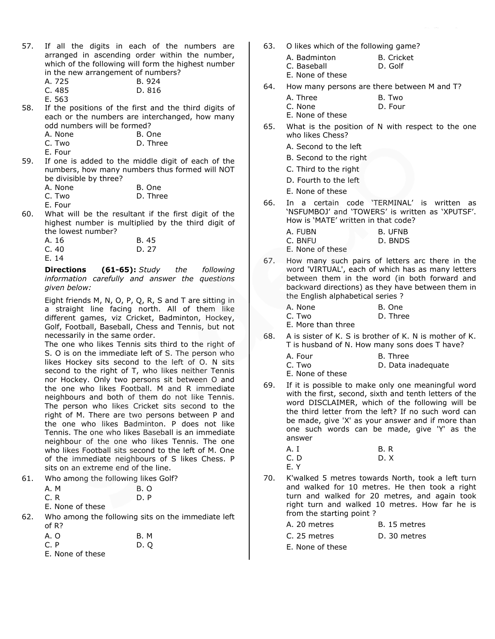- 57. If all the digits in each of the numbers are arranged in ascending order within the number, which of the following will form the highest number in the new arrangement of numbers?
	- A. 725 B. 924 816

|              | C. 485 |  |
|--------------|--------|--|
| $\mathbf{r}$ | rro    |  |

- E. 563
- 58. If the positions of the first and the third digits of each or the numbers are interchanged, how many odd numbers will be formed?

|                          | A. None | B. One                                                                                                                                                                                                                                                                                        |
|--------------------------|---------|-----------------------------------------------------------------------------------------------------------------------------------------------------------------------------------------------------------------------------------------------------------------------------------------------|
| $\overline{\phantom{a}}$ |         | $\sim$ 1 $\sim$ 1 $\sim$ 1 $\sim$ 1 $\sim$ 1 $\sim$ 1 $\sim$ 1 $\sim$ 1 $\sim$ 1 $\sim$ 1 $\sim$ 1 $\sim$ 1 $\sim$ 1 $\sim$ 1 $\sim$ 1 $\sim$ 1 $\sim$ 1 $\sim$ 1 $\sim$ 1 $\sim$ 1 $\sim$ 1 $\sim$ 1 $\sim$ 1 $\sim$ 1 $\sim$ 1 $\sim$ 1 $\sim$ 1 $\sim$ 1 $\sim$ 1 $\sim$ 1 $\sim$ 1 $\sim$ |

| D. Three<br>C. Two |  |
|--------------------|--|
|--------------------|--|

- E. Four
- 59. If one is added to the middle digit of each of the numbers, how many numbers thus formed will NOT be divisible by three?

|         | - - - - - - |  |  |  |        |  |
|---------|-------------|--|--|--|--------|--|
| A. None |             |  |  |  | B. One |  |
|         |             |  |  |  |        |  |

| C. Two |  | D. Three |
|--------|--|----------|
|        |  |          |

E. Four

60. What will be the resultant if the first digit of the highest number is multiplied by the third digit of the lowest number?

| B. 45 |
|-------|
| D. 27 |
|       |
|       |

**Directions (61-65):** *Study the following information carefully and answer the questions given below:*

Eight friends M, N, O, P, Q, R, S and T are sitting in a straight line facing north. All of them like different games, viz Cricket, Badminton, Hockey, Golf, Football, Baseball, Chess and Tennis, but not necessarily in the same order.

The one who likes Tennis sits third to the right of S. O is on the immediate left of S. The person who likes Hockey sits second to the left of O. N sits second to the right of T, who likes neither Tennis nor Hockey. Only two persons sit between O and the one who likes Football. M and R immediate neighbours and both of them do not like Tennis. The person who likes Cricket sits second to the right of M. There are two persons between P and the one who likes Badminton. P does not like Tennis. The one who likes Baseball is an immediate neighbour of the one who likes Tennis. The one who likes Football sits second to the left of M. One of the immediate neighbours of S likes Chess. P sits on an extreme end of the line.

| A. M             | B. O |
|------------------|------|
| C. R             | D.P  |
| E. None of these |      |

62. Who among the following sits on the immediate left of R?

| A. O | <b>B. M</b> |
|------|-------------|
| C. P | D.Q         |

E. None of these

- 63. O likes which of the following game?
	- A. Badminton B. Cricket C. Baseball D. Golf
	- E. None of these
- 64. How many persons are there between M and T?
	- A. Three B. Two
	- C. None D. Four
	- E. None of these
- 65. What is the position of N with respect to the one who likes Chess?
	- A. Second to the left
	- B. Second to the right
	- C. Third to the right
	- D. Fourth to the left
	- E. None of these
- 66. In a certain code 'TERMINAL' is written as 'NSFUMBOJ' and 'TOWERS' is written as 'XPUTSF'. How is 'MATE' written in that code?
	- A. FUBN B. UFNB<br>C. BNFU D. BNDS
	- D. BNDS

E. None of these

- 67. How many such pairs of letters arc there in the word 'VIRTUAL', each of which has as many letters between them in the word (in both forward and backward directions) as they have between them in the English alphabetical series ?
	- A. None B. One C. Two D. Three
	- E. More than three
- 68. A is sister of K. S is brother of K. N is mother of K. T is husband of N. How many sons does T have?

| A. Four          | B. Three           |
|------------------|--------------------|
| C. Two           | D. Data inadequate |
| E. None of these |                    |

- 69. If it is possible to make only one meaningful word with the first, second, sixth and tenth letters of the word DISCLAIMER, which of the following will be the third letter from the left? If no such word can be made, give 'X' as your answer and if more than one such words can be made, give 'Y' as the answer
	- A. I B. R C. D D. X E. Y
- 70. K'walked 5 metres towards North, took a left turn and walked for 10 metres. He then took a right turn and walked for 20 metres, and again took right turn and walked 10 metres. How far he is from the starting point ?

| A. 20 metres | B. 15 metres |
|--------------|--------------|
| C. 25 metres | D. 30 metres |
|              |              |

E. None of these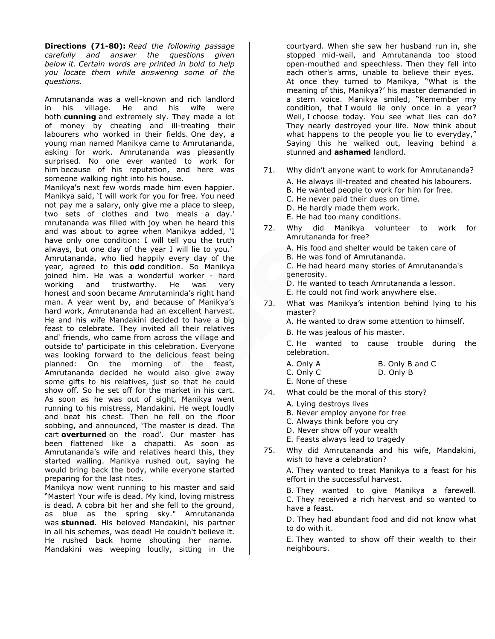**Directions (71-80):** *Read the following passage carefully and answer the questions given below it. Certain words are printed in bold to help you locate them while answering some of the questions.*

Amrutananda was a well-known and rich landlord in his village. He and his wife were both **cunning** and extremely sly. They made a lot of money by cheating and ill-treating their labourers who worked in their fields. One day, a young man named Manikya came to Amrutananda, asking for work. Amrutananda was pleasantly surprised. No one ever wanted to work for him because of his reputation, and here was someone walking right into his house.

Manikya's next few words made him even happier. Manikya said, 'I will work for you for free. You need not pay me a salary, only give me a place to sleep, two sets of clothes and two meals a day.' mrutananda was filled with joy when he heard this and was about to agree when Manikya added, 'I have only one condition: I will tell you the truth always, but one day of the year I will lie to you.' Amrutananda, who lied happily every day of the year, agreed to this **odd** condition. So Manikya joined him. He was a wonderful worker - hard working and trustworthy. He was very honest and soon became Amrutaminda's right hand man. A year went by, and because of Manikya's hard work, Amrutananda had an excellent harvest. He and his wife Mandakini decided to have a big feast to celebrate. They invited all their relatives and' friends, who came from across the village and outside to' participate in this celebration. Everyone was looking forward to the delicious feast being planned: On the morning of the feast, Amrutananda decided he would also give away some gifts to his relatives, just so that he could show off. So he set off for the market in his cart. As soon as he was out of sight, Manikya went running to his mistress, Mandakini. He wept loudly and beat his chest. Then he fell on the floor sobbing, and announced, 'The master is dead. The cart **overturned** on the road'. Our master has been flattened like a chapatti. As soon as Amrutananda's wife and relatives heard this, they started wailing. Manikya rushed out, saying he would bring back the body, while everyone started preparing for the last rites.

Manikya now went running to his master and said "Master! Your wife is dead. My kind, loving mistress is dead. A cobra bit her and she fell to the ground, as blue as the spring sky." Amrutananda was **stunned**. His beloved Mandakini, his partner in all his schemes, was dead! He couldn't believe it. He rushed back home shouting her name. Mandakini was weeping loudly, sitting in the

courtyard. When she saw her husband run in, she stopped mid-wail, and Amrutananda too stood open-mouthed and speechless. Then they fell into each other's arms, unable to believe their eyes. At once they turned to Manikya, "What is the meaning of this, Manikya?' his master demanded in a stern voice. Manikya smiled, "Remember my condition, that I would lie only once in a year? Well, I choose today. You see what lies can do? They nearly destroyed your life. Now think about what happens to the people you lie to everyday," Saying this he walked out, leaving behind a stunned and **ashamed** landlord.

- 71. Why didn't anyone want to work for Amrutananda? A. He always ill-treated and cheated his labourers. B. He wanted people to work for him for free. C. He never paid their dues on time. D. He hardly made them work. E. He had too many conditions.
- 72. Why did Manikya volunteer to work for Amrutananda for free?

A. His food and shelter would be taken care of B. He was fond of Amrutananda. C. He had heard many stories of Amrutananda's generosity.

D. He wanted to teach Amrutananda a lesson. E. He could not find work anywhere else.

73. What was Manikya's intention behind lying to his master?

A. He wanted to draw some attention to himself.

B. He was jealous of his master.

C. He wanted to cause trouble during the celebration.

| A. Only A | B. Only B and C |  |
|-----------|-----------------|--|
|           |                 |  |

C. Only C D. Only B

E. None of these

- 74. What could be the moral of this story?
	- A. Lying destroys lives
	- B. Never employ anyone for free
	- C. Always think before you cry
	- D. Never show off your wealth
	- E. Feasts always lead to tragedy
- 75. Why did Amrutananda and his wife, Mandakini, wish to have a celebration?

A. They wanted to treat Manikya to a feast for his effort in the successful harvest.

B. They wanted to give Manikya a farewell. C. They received a rich harvest and so wanted to have a feast.

D. They had abundant food and did not know what to do with it.

E. They wanted to show off their wealth to their neighbours.